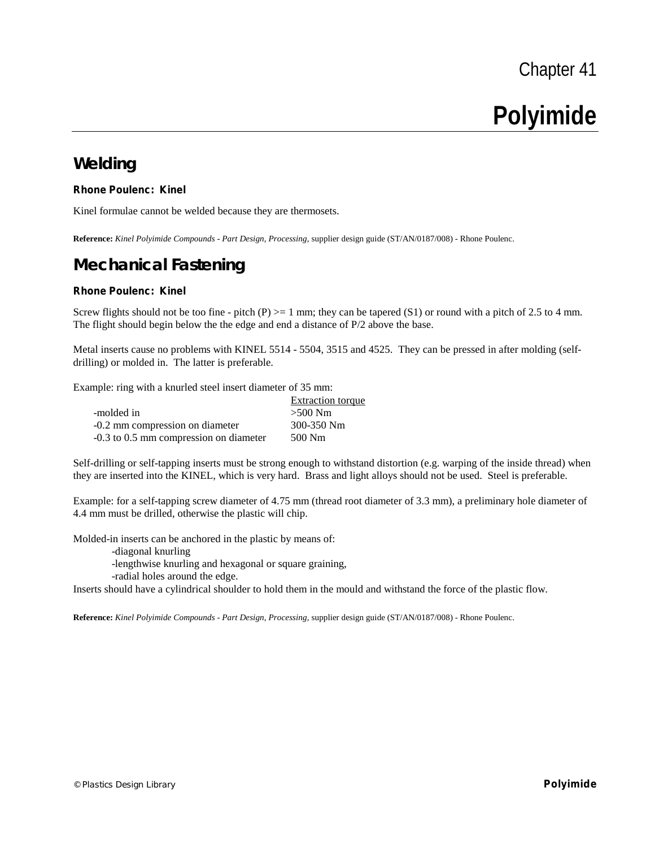Chapter 41

## **Welding**

### **Rhone Poulenc: Kinel**

Kinel formulae cannot be welded because they are thermosets.

**Reference:** *Kinel Polyimide Compounds - Part Design, Processing,* supplier design guide (ST/AN/0187/008) - Rhone Poulenc.

## **Mechanical Fastening**

## **Rhone Poulenc: Kinel**

Screw flights should not be too fine - pitch  $(P)$  >= 1 mm; they can be tapered  $(S1)$  or round with a pitch of 2.5 to 4 mm. The flight should begin below the the edge and end a distance of P/2 above the base.

Metal inserts cause no problems with KINEL 5514 - 5504, 3515 and 4525. They can be pressed in after molding (selfdrilling) or molded in. The latter is preferable.

Example: ring with a knurled steel insert diameter of 35 mm:

|                                        | <b>Extraction torque</b> |  |  |
|----------------------------------------|--------------------------|--|--|
| -molded in                             | $>500$ Nm                |  |  |
| -0.2 mm compression on diameter        | 300-350 Nm               |  |  |
| -0.3 to 0.5 mm compression on diameter | 500 Nm                   |  |  |

Self-drilling or self-tapping inserts must be strong enough to withstand distortion (e.g. warping of the inside thread) when they are inserted into the KINEL, which is very hard. Brass and light alloys should not be used. Steel is preferable.

Example: for a self-tapping screw diameter of 4.75 mm (thread root diameter of 3.3 mm), a preliminary hole diameter of 4.4 mm must be drilled, otherwise the plastic will chip.

Molded-in inserts can be anchored in the plastic by means of:

-diagonal knurling

-lengthwise knurling and hexagonal or square graining,

-radial holes around the edge.

Inserts should have a cylindrical shoulder to hold them in the mould and withstand the force of the plastic flow.

**Reference:** *Kinel Polyimide Compounds - Part Design, Processing,* supplier design guide (ST/AN/0187/008) - Rhone Poulenc.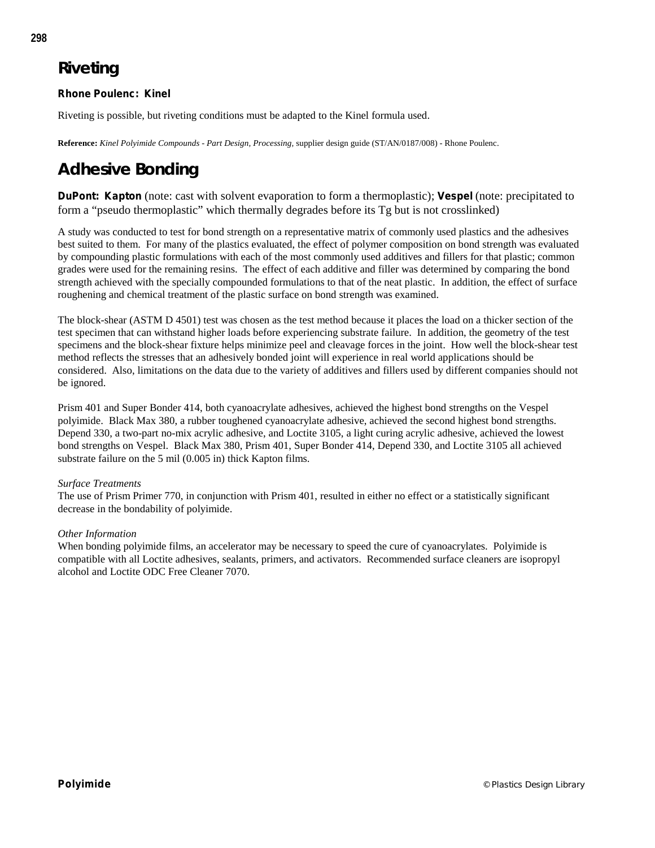## **Riveting**

## **Rhone Poulenc: Kinel**

Riveting is possible, but riveting conditions must be adapted to the Kinel formula used.

**Reference:** *Kinel Polyimide Compounds - Part Design, Processing,* supplier design guide (ST/AN/0187/008) - Rhone Poulenc.

# **Adhesive Bonding**

**DuPont: Kapton** (note: cast with solvent evaporation to form a thermoplastic); **Vespel** (note: precipitated to form a "pseudo thermoplastic" which thermally degrades before its Tg but is not crosslinked)

A study was conducted to test for bond strength on a representative matrix of commonly used plastics and the adhesives best suited to them. For many of the plastics evaluated, the effect of polymer composition on bond strength was evaluated by compounding plastic formulations with each of the most commonly used additives and fillers for that plastic; common grades were used for the remaining resins. The effect of each additive and filler was determined by comparing the bond strength achieved with the specially compounded formulations to that of the neat plastic. In addition, the effect of surface roughening and chemical treatment of the plastic surface on bond strength was examined.

The block-shear (ASTM D 4501) test was chosen as the test method because it places the load on a thicker section of the test specimen that can withstand higher loads before experiencing substrate failure. In addition, the geometry of the test specimens and the block-shear fixture helps minimize peel and cleavage forces in the joint. How well the block-shear test method reflects the stresses that an adhesively bonded joint will experience in real world applications should be considered. Also, limitations on the data due to the variety of additives and fillers used by different companies should not be ignored.

Prism 401 and Super Bonder 414, both cyanoacrylate adhesives, achieved the highest bond strengths on the Vespel polyimide. Black Max 380, a rubber toughened cyanoacrylate adhesive, achieved the second highest bond strengths. Depend 330, a two-part no-mix acrylic adhesive, and Loctite 3105, a light curing acrylic adhesive, achieved the lowest bond strengths on Vespel. Black Max 380, Prism 401, Super Bonder 414, Depend 330, and Loctite 3105 all achieved substrate failure on the 5 mil (0.005 in) thick Kapton films.

### *Surface Treatments*

The use of Prism Primer 770, in conjunction with Prism 401, resulted in either no effect or a statistically significant decrease in the bondability of polyimide.

### *Other Information*

When bonding polyimide films, an accelerator may be necessary to speed the cure of cyanoacrylates. Polyimide is compatible with all Loctite adhesives, sealants, primers, and activators. Recommended surface cleaners are isopropyl alcohol and Loctite ODC Free Cleaner 7070.